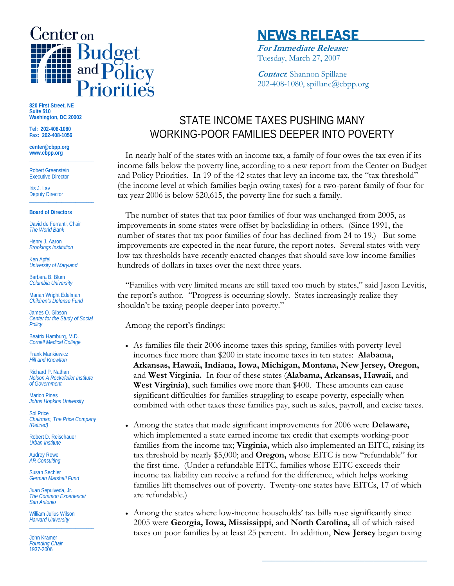

# NEWS RELEASE

**For Immediate Release:** Tuesday, March 27, 2007

**Contact**: Shannon Spillane 202-408-1080, spillane@cbpp.org

**820 First Street, NE Suite 510 Washington, DC 20002** 

**Tel: 202-408-1080 Fax: 202-408-1056** 

**center@cbpp.org www.cbpp.org \_\_\_\_\_\_\_\_\_\_\_\_\_\_\_\_\_\_\_\_\_\_\_\_** 

Robert Greenstein Executive Director

Iris J. Lav Deputy Director **\_\_\_\_\_\_\_\_\_\_\_\_\_\_\_\_\_\_\_\_\_\_\_\_** 

**Board of Directors** 

David de Ferranti, Chair *The World Bank* 

Henry J. Aaron *Brookings Institution* 

Ken Apfel *University of Maryland* 

Barbara B. Blum *Columbia University* 

Marian Wright Edelman *Children's Defense Fund* 

James O. Gibson *Center for the Study of Social Policy* 

Beatrix Hamburg, M.D. *Cornell Medical College* 

Frank Mankiewicz *Hill and Knowlton* 

Richard P. Nathan *Nelson A Rockefeller Institute of Government* 

Marion Pines *Johns Hopkins University* 

Sol Price *Chairman, The Price Company (Retired)* 

Robert D. Reischauer *Urban Institute* 

Audrey Rowe *AR Consulting* 

Susan Sechler *German Marshall Fund* 

Juan Sepulveda, Jr. *The Common Experience/ San Antonio* 

William Julius Wilson *Harvard University*  **\_\_\_\_\_\_\_\_\_\_\_\_\_\_\_\_\_\_\_\_\_\_\_\_** 

John Kramer *Founding Chair*  1937-2006

# STATE INCOME TAXES PUSHING MANY WORKING-POOR FAMILIES DEEPER INTO POVERTY

 In nearly half of the states with an income tax, a family of four owes the tax even if its income falls below the poverty line, according to a new report from the Center on Budget and Policy Priorities. In 19 of the 42 states that levy an income tax, the "tax threshold" (the income level at which families begin owing taxes) for a two-parent family of four for tax year 2006 is below \$20,615, the poverty line for such a family.

 The number of states that tax poor families of four was unchanged from 2005, as improvements in some states were offset by backsliding in others. (Since 1991, the number of states that tax poor families of four has declined from 24 to 19.) But some improvements are expected in the near future, the report notes. Several states with very low tax thresholds have recently enacted changes that should save low-income families hundreds of dollars in taxes over the next three years.

 "Families with very limited means are still taxed too much by states," said Jason Levitis, the report's author. "Progress is occurring slowly. States increasingly realize they shouldn't be taxing people deeper into poverty."

Among the report's findings:

- As families file their 2006 income taxes this spring, families with poverty-level incomes face more than \$200 in state income taxes in ten states: **Alabama, Arkansas, Hawaii, Indiana, Iowa, Michigan, Montana, New Jersey, Oregon,** and **West Virginia.** In four of these states (**Alabama, Arkansas, Hawaii,** and **West Virginia)**, such families owe more than \$400. These amounts can cause significant difficulties for families struggling to escape poverty, especially when combined with other taxes these families pay, such as sales, payroll, and excise taxes.
- Among the states that made significant improvements for 2006 were **Delaware,**  which implemented a state earned income tax credit that exempts working-poor families from the income tax; **Virginia,** which also implemented an EITC, raising its tax threshold by nearly \$5,000; and **Oregon,** whose EITC is now "refundable" for the first time. (Under a refundable EITC, families whose EITC exceeds their income tax liability can receive a refund for the difference, which helps working families lift themselves out of poverty. Twenty-one states have EITCs, 17 of which are refundable.)
- Among the states where low-income households' tax bills rose significantly since 2005 were **Georgia, Iowa, Mississippi,** and **North Carolina,** all of which raised taxes on poor families by at least 25 percent. In addition, **New Jersey** began taxing

**\_\_\_\_\_\_\_\_\_\_\_\_\_\_\_\_\_\_\_\_\_\_\_\_\_\_\_\_\_\_\_\_\_\_\_\_\_**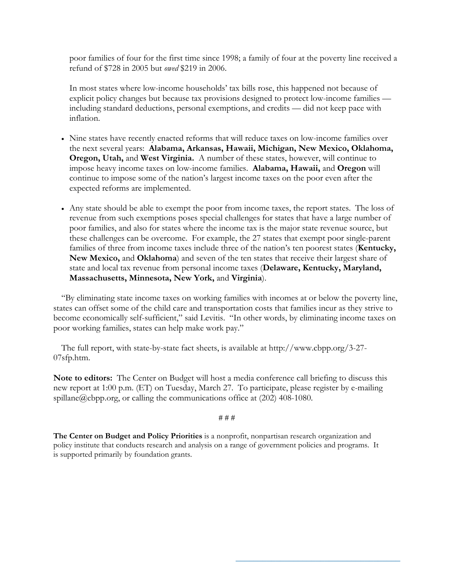poor families of four for the first time since 1998; a family of four at the poverty line received a refund of \$728 in 2005 but *owed* \$219 in 2006.

In most states where low-income households' tax bills rose, this happened not because of explicit policy changes but because tax provisions designed to protect low-income families including standard deductions, personal exemptions, and credits — did not keep pace with inflation.

- Nine states have recently enacted reforms that will reduce taxes on low-income families over the next several years: **Alabama, Arkansas, Hawaii, Michigan, New Mexico, Oklahoma, Oregon, Utah,** and **West Virginia.** A number of these states, however, will continue to impose heavy income taxes on low-income families. **Alabama, Hawaii,** and **Oregon** will continue to impose some of the nation's largest income taxes on the poor even after the expected reforms are implemented.
- Any state should be able to exempt the poor from income taxes, the report states. The loss of revenue from such exemptions poses special challenges for states that have a large number of poor families, and also for states where the income tax is the major state revenue source, but these challenges can be overcome. For example, the 27 states that exempt poor single-parent families of three from income taxes include three of the nation's ten poorest states (**Kentucky, New Mexico,** and **Oklahoma**) and seven of the ten states that receive their largest share of state and local tax revenue from personal income taxes (**Delaware, Kentucky, Maryland, Massachusetts, Minnesota, New York,** and **Virginia**).

 "By eliminating state income taxes on working families with incomes at or below the poverty line, states can offset some of the child care and transportation costs that families incur as they strive to become economically self-sufficient," said Levitis. "In other words, by eliminating income taxes on poor working families, states can help make work pay."

 The full report, with state-by-state fact sheets, is available at http://www.cbpp.org/3-27- 07sfp.htm.

**Note to editors:** The Center on Budget will host a media conference call briefing to discuss this new report at 1:00 p.m. (ET) on Tuesday, March 27. To participate, please register by e-mailing spillane@cbpp.org, or calling the communications office at (202) 408-1080.

## # # #

**\_\_\_\_\_\_\_\_\_\_\_\_\_\_\_\_\_\_\_\_\_\_\_\_\_\_\_\_\_\_\_\_\_\_\_\_\_** 

**The Center on Budget and Policy Priorities** is a nonprofit, nonpartisan research organization and policy institute that conducts research and analysis on a range of government policies and programs. It is supported primarily by foundation grants.